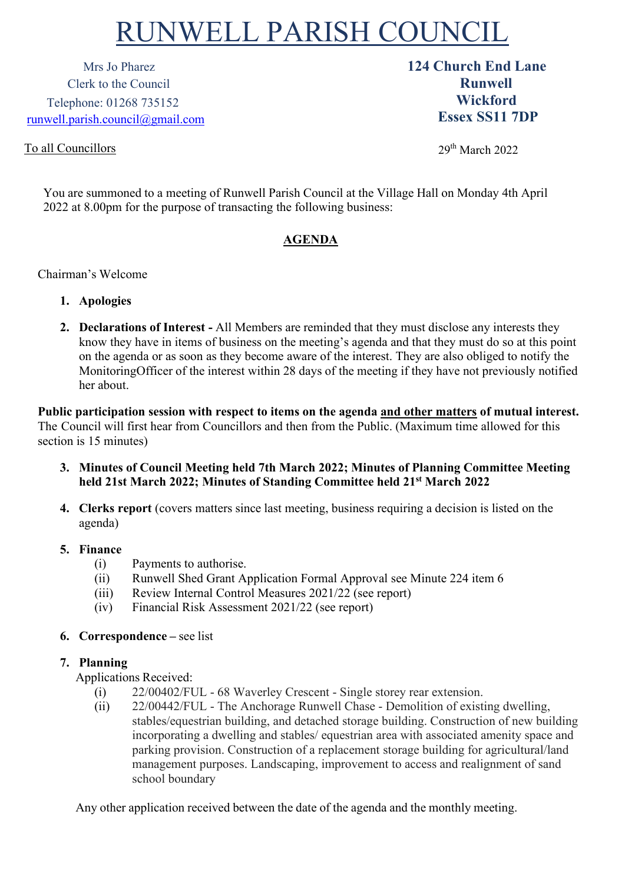# RUNWELL PARISH COUNCIL

Clerk to the Council **Runwell** Telephone: 01268 735152 [runwell.parish.council@gmail.com](mailto:runwell.parish.council@gmail.com)

# To all Councillors

Mrs Jo Pharez **124 Church End Lane Wickford Essex SS11 7DP**

29th March 2022

You are summoned to a meeting of Runwell Parish Council at the Village Hall on Monday 4th April 2022 at 8.00pm for the purpose of transacting the following business:

# **AGENDA**

#### Chairman's Welcome

- **1. Apologies**
- **2. Declarations of Interest -** All Members are reminded that they must disclose any interests they know they have in items of business on the meeting's agenda and that they must do so at this point on the agenda or as soon as they become aware of the interest. They are also obliged to notify the MonitoringOfficer of the interest within 28 days of the meeting if they have not previously notified her about.

**Public participation session with respect to items on the agenda and other matters of mutual interest.**  The Council will first hear from Councillors and then from the Public. (Maximum time allowed for this section is 15 minutes)

- **3. Minutes of Council Meeting held 7th March 2022; Minutes of Planning Committee Meeting held 21st March 2022; Minutes of Standing Committee held 21st March 2022**
- **4. Clerks report** (covers matters since last meeting, business requiring a decision is listed on the agenda)

#### **5. Finance**

- (i) Payments to authorise.
- (ii) Runwell Shed Grant Application Formal Approval see Minute 224 item 6
- (iii) Review Internal Control Measures 2021/22 (see report)
- (iv) Financial Risk Assessment 2021/22 (see report)

## **6. Correspondence –** see list

## **7. Planning**

Applications Received:

- (i) 22/00402/FUL 68 Waverley Crescent Single storey rear extension.
- (ii) 22/00442/FUL The Anchorage Runwell Chase Demolition of existing dwelling, stables/equestrian building, and detached storage building. Construction of new building incorporating a dwelling and stables/ equestrian area with associated amenity space and parking provision. Construction of a replacement storage building for agricultural/land management purposes. Landscaping, improvement to access and realignment of sand school boundary

Any other application received between the date of the agenda and the monthly meeting.